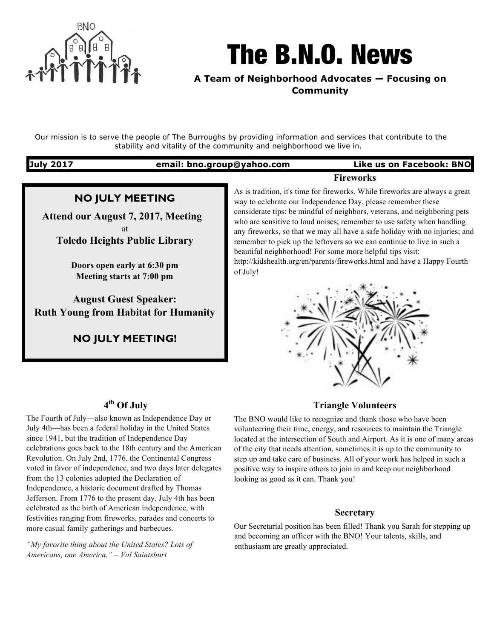

# The B.N.O. News

**A Team of Neighborhood Advocates — Focusing on Community**

Our mission is to serve the people of The Burroughs by providing information and services that contribute to the stability and vitality of the community and neighborhood we live in.

# **July 2017 email: bno.group@yahoo.com Like us on Facebook: BNO Fireworks**

# **NO JULY MEETING**

 **Attend our August 7, 2017, Meeting** at **Toledo Heights Public Library**

> **Doors open early at 6:30 pm Meeting starts at 7:00 pm**

**August Guest Speaker: Ruth Young from Habitat for Humanity**

**NO JULY MEETING!**

As is tradition, it's time for fireworks. While fireworks are always a great way to celebrate our Independence Day, please remember these considerate tips: be mindful of neighbors, veterans, and neighboring pets who are sensitive to loud noises; remember to use safety when handling any fireworks, so that we may all have a safe holiday with no injuries; and remember to pick up the leftovers so we can continue to live in such a beautiful neighborhood! For some more helpful tips visit: http://kidshealth.org/en/parents/fireworks.html and have a Happy Fourth of July!



# **4th Of July**

The Fourth of July—also known as Independence Day or July 4th—has been a federal holiday in the United States since 1941, but the tradition of Independence Day celebrations goes back to the 18th century and the American Revolution. On July 2nd, 1776, the Continental Congress voted in favor of independence, and two days later delegates from the 13 colonies adopted the Declaration of Independence, a historic document drafted by Thomas Jefferson. From 1776 to the present day, July 4th has been celebrated as the birth of American independence, with festivities ranging from fireworks, parades and concerts to more casual family gatherings and barbecues.

*"My favorite thing about the United States? Lots of Americans, one America." – Val Saintsburt*

#### **Triangle Volunteers**

The BNO would like to recognize and thank those who have been volunteering their time, energy, and resources to maintain the Triangle located at the intersection of South and Airport. As it is one of many areas of the city that needs attention, sometimes it is up to the community to step up and take care of business. All of your work has helped in such a positive way to inspire others to join in and keep our neighborhood looking as good as it can. Thank you!

#### **Secretary**

Our Secretarial position has been filled! Thank you Sarah for stepping up and becoming an officer with the BNO! Your talents, skills, and enthusiasm are greatly appreciated.